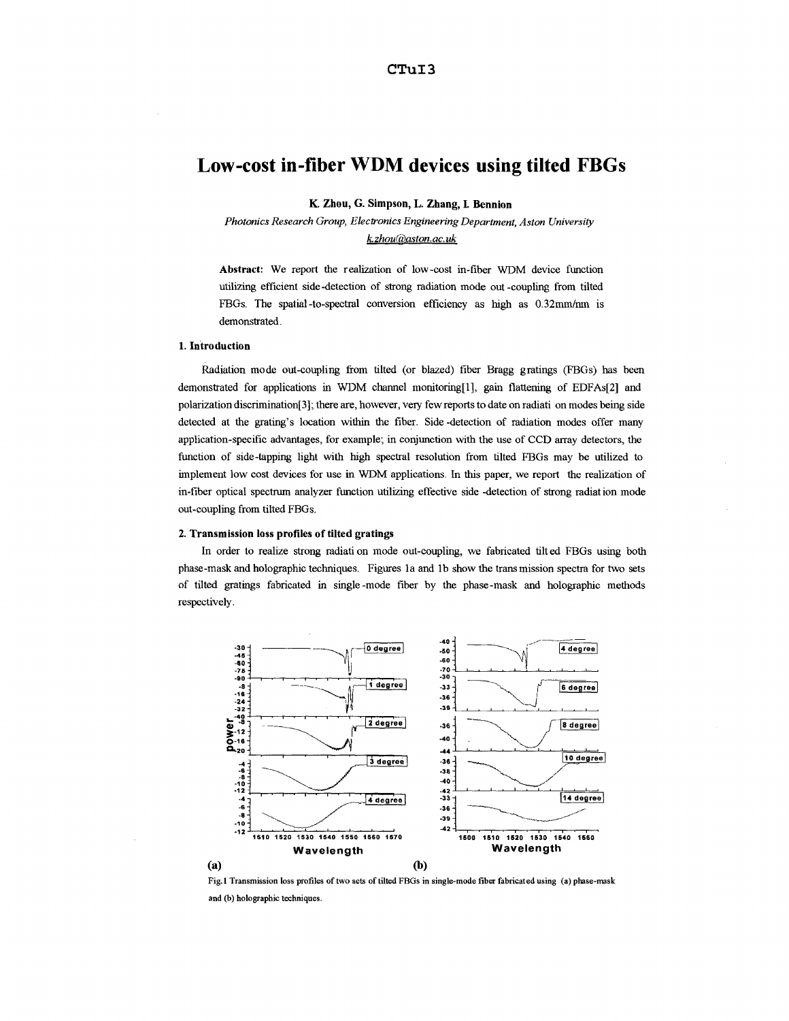# **Low-cost in-fiber WDM devices using tilted FBGs**

**K. Zhou, G. Simpson, L. Zhang, I. Bennion** 

*Photonics Research Group, Electronics Engineering Department, Aston University k.zhouk3aston.ac. uk* 

**Abstract:** We report the realization of low-cost in-fiber WDM device function utilizing efficient side -detection of strong radiation mode out -coupling from tilted FBGs. The spatial-to-spectral conversion efficiency as **high** as 0.32mm/nm is demonstrated.

#### **1. Introduction**

Radiation mode out-coupling from tilted (or blazed) fiber Bragg gratings (FBGs) has been demonstrated for applications in WDM channel monitoring[l], gain flattening of EDFAs[2] and polarization discrimination[3]; there are, however, very few reports to date on radiati on modes being side detected at the grating's location within the fiber. Side -detection of radiation modes offer many application-specific advantages, for example; in conjunction with the use of CCD array detectors, the function of side-tapping light with high spectral resolution from tilted FBGs may be utilized to implement low cost devices for use in WDM applications. In this paper, we report the realization of in-fiber optical spectrum analyzer function utilizing effective side -detection of strong radiation mode out-coupling from tilted FBGs.

### **2. Transmission loss profiles of tilted gratings**

In order to realize strong radiati on mode out-coupling, we fabricated tilted FBGs using both phase-mask and holographic techniques. Figures la and lb show the trans mission spectra for two sets of tilted gratings fabricated in single-mode fiber by the phase-mask and holographic methods respectively.



**Fig.1 Transmission loss profiles of two sets of tilted FBGs in single-mode fiber fabricated using (a) phase-mask**  and (b) holographic techniques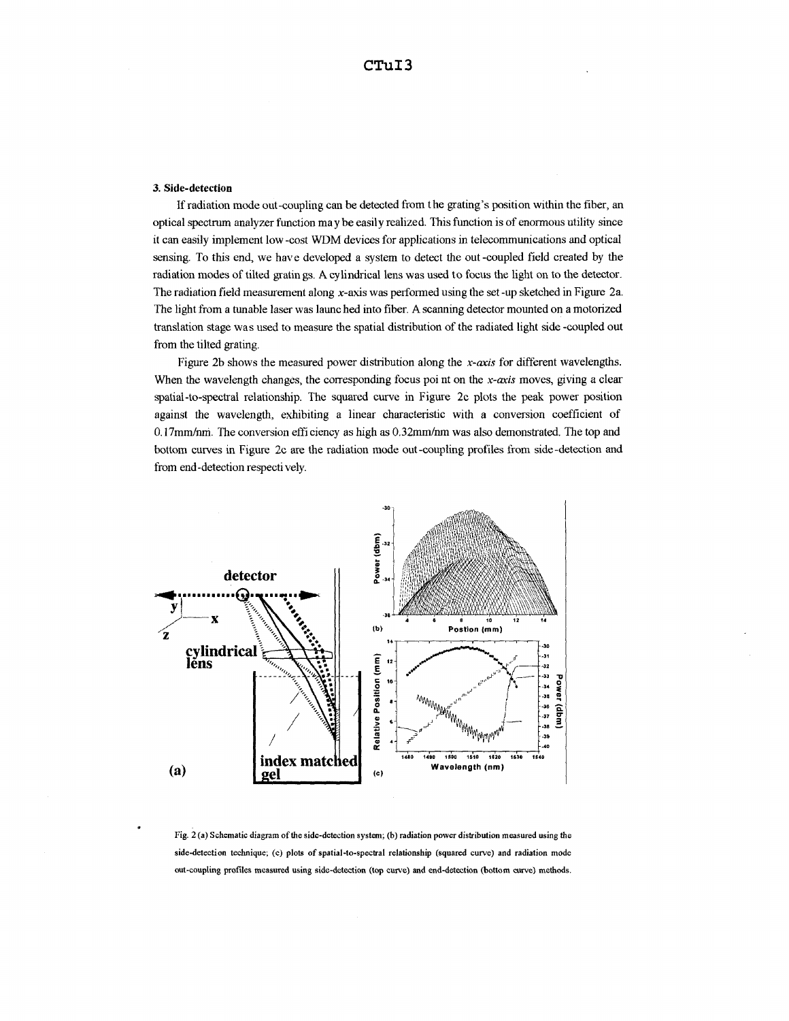## **3. Side-detection**

If radiation mode out-coupling can be detected from the grating's position within the fiber, an optical spectrum analyzer function may be easily realized. This function is **of** enormous utility since it can easily implement low -cost WDM devices for applications in telecommunications and optical sensing. To this end, we have developed a system to detect the out -coupled field created by the radiation modes of tilted gratin gs. Acylindrical lens was used to focus the light on to the detector. The radiation field measurement along x-axis was performed using the set -up sketched in Figure 2a. The light from a tunable laser was launched into fiber. **A** scanning detector mounted on a motorized translation stage was used to measure the spatial distribution of the radiated light side -coupled out from the tilted grating.

Figure 2b shows the measured power distribution along the *x-axis* for different wavelengths. When the wavelength changes, the corresponding focus poi nt on the  $x$ -axis moves, giving a clear spatial-to-spectral relationship. The squared curve in Figure 2c plots the *peak* power position against the wavelength, exhibiting a linear characteristic with a conversion coefficient of 0,17mm/nm. The conversion efficiency as high as 0.32mm/nm was also demonstrated. The top and bottom curves in Figure 2c are the radiation mode out-coupling profiles from side-detection and from end-detection respectively.



**Fig. 2 (a) Schematic diagram of the side-detection system; (b) radiation power distribution measured using the side-detection technique;** (c) **plots** *of* **spatial-to-spectral relationship (squared curve) and radiation mode out-coupling profiles measured using side-detection (top curve) and end-detection (bottom curve) methods.**